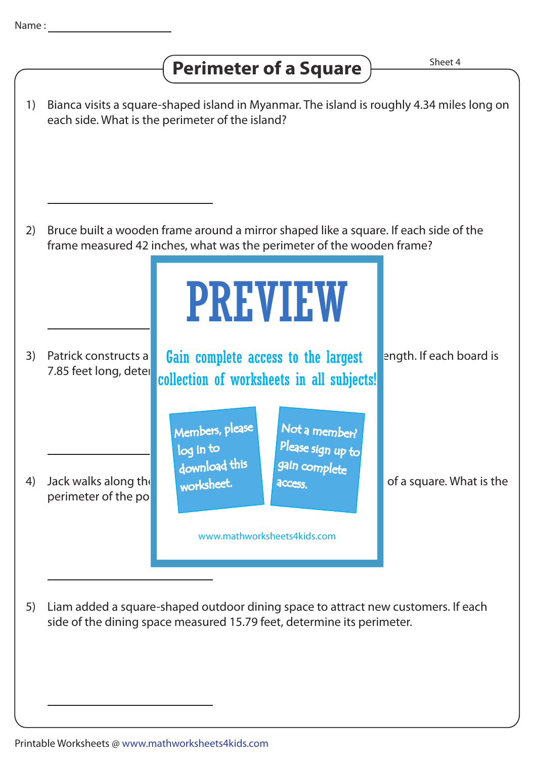## **Perimeter of a Square**  $\overline{\phantom{a}}$  **Perimeter of a Square**